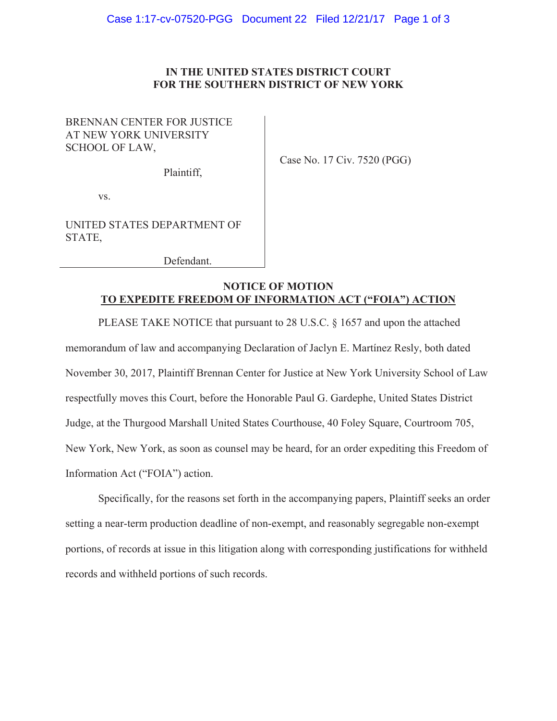## IN THE UNITED STATES DISTRICT COURT FOR THE SOUTHERN DISTRICT OF NEW YORK

# BRENNAN CENTER FOR JUSTICE AT NEW YORK UNIVERSITY SCHOOL OF LAW,

Plaintiff,

Case No. 17 Civ. 7520 (PGG)

VS.

UNITED STATES DEPARTMENT OF STATE.

Defendant.

## **NOTICE OF MOTION TO EXPEDITE FREEDOM OF INFORMATION ACT ("FOIA") ACTION**

PLEASE TAKE NOTICE that pursuant to 28 U.S.C. § 1657 and upon the attached memorandum of law and accompanying Declaration of Jaclyn E. Martinez Resly, both dated November 30, 2017, Plaintiff Brennan Center for Justice at New York University School of Law respectfully moves this Court, before the Honorable Paul G. Gardephe, United States District Judge, at the Thurgood Marshall United States Courthouse, 40 Foley Square, Courtroom 705, New York, New York, as soon as counsel may be heard, for an order expediting this Freedom of Information Act ("FOIA") action.

Specifically, for the reasons set forth in the accompanying papers, Plaintiff seeks an order setting a near-term production deadline of non-exempt, and reasonably segregable non-exempt portions, of records at issue in this litigation along with corresponding justifications for withheld records and withheld portions of such records.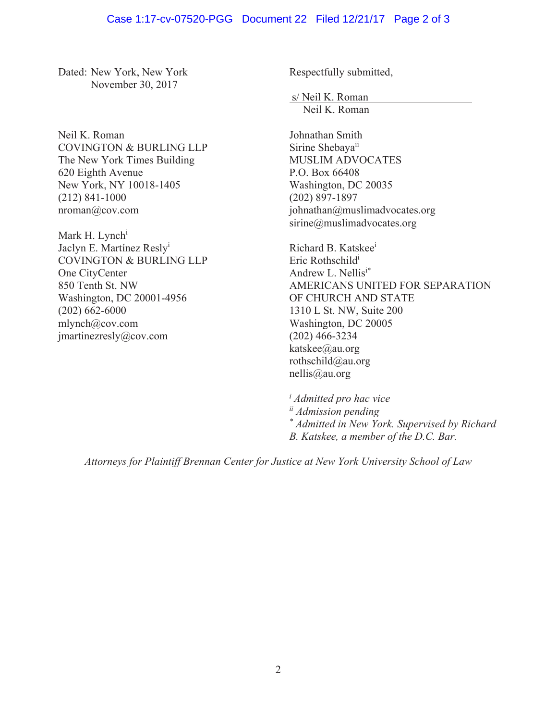## Case 1:17-cv-07520-PGG Document 22 Filed 12/21/17 Page 2 of 3

Dated: New York, New York November 30, 2017

Neil K. Roman COVINGTON & BURLING LLP The New York Times Building 620 Eighth Avenue New York, NY 10018-1405  $(212)$  841-1000  $n$ roman $@$ cov.com

Mark H. Lynch<sup>i</sup> Jaclyn E. Martínez Resly<sup>i</sup> COVINGTON & BURLING LLP One CityCenter 850 Tenth St. NW Washington, DC 20001-4956  $(202)$  662-6000  $mlynch@cov.com$ imartinezresly@cov.com

Respectfully submitted,

s/Neil K. Roman Neil K. Roman

Johnathan Smith Sirine Shebaya<sup>ii</sup> MUSLIM ADVOCATES P.O. Box 66408 Washington, DC 20035  $(202)$  897-1897 johnathan@muslimadvocates.org  $sirine@muslimadvocates.org$ 

Richard B. Katskee<sup>i</sup> Eric Rothschild<sup>i</sup> Andrew L. Nellis<sup>i\*</sup> AMERICANS UNITED FOR SEPARATION OF CHURCH AND STATE 1310 L St. NW, Suite 200 Washington, DC 20005  $(202)$  466-3234 katskee@au.org rothschild@au.org  $n$ ellis@au.org

*i Admitted pro hac vice ii Admission pending \* Admitted in New York. Supervised by Richard B. Katskee, a member of the D.C. Bar.* 

*Attorneys for Plaintiff Brennan Center for Justice at New York University School of Law*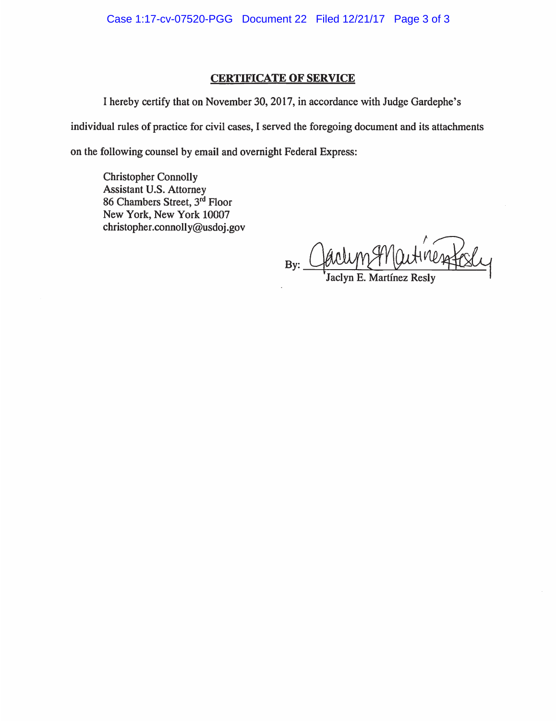### **CERTIFICATE OF SERVICE**

I hereby certify that on November 30, 2017, in accordance with Judge Gardephe's individual rules of practice for civil cases, I served the foregoing document and its attachments on the following counsel by email and overnight Federal Express:

**Christopher Connolly** Assistant U.S. Attorney 86 Chambers Street, 3rd Floor New York, New York 10007 christopher.connolly@usdoj.gov

By:  $\overline{\phantom{a}}$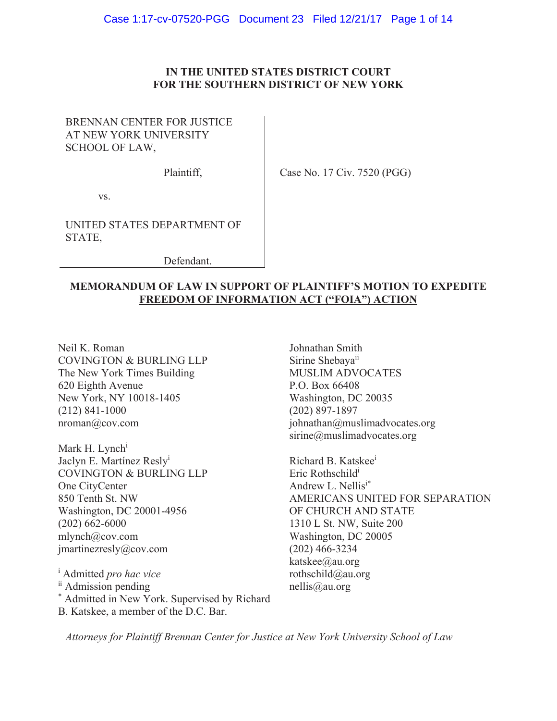# IN THE UNITED STATES DISTRICT COURT FOR THE SOUTHERN DISTRICT OF NEW YORK

# BRENNAN CENTER FOR JUSTICE AT NEW YORK UNIVERSITY SCHOOL OF LAW,

Plaintiff.

Case No. 17 Civ. 7520 (PGG)

VS.

UNITED STATES DEPARTMENT OF STATE.

Defendant.

# **MEMORANDUM OF LAW IN SUPPORT OF PLAINTIFF'S MOTION TO EXPEDITE FREEDOM OF INFORMATION ACT ("FOIA") ACTION**

Neil K. Roman **COVINGTON & BURLING LLP** The New York Times Building 620 Eighth Avenue New York, NY 10018-1405  $(212)$  841-1000  $nroman@cov.com$ 

Mark H. Lynch<sup>i</sup> Jaclyn E. Martínez Resly<sup>i</sup> COVINGTON & BURLING LLP One CityCenter 850 Tenth St. NW Washington, DC 20001-4956  $(202)$  662-6000 mlynch@cov.com jmartinezresly@cov.com

<sup>i</sup> Admitted pro hac vice <sup>ii</sup> Admission pending \* Admitted in New York. Supervised by Richard B. Katskee, a member of the D.C. Bar.

Johnathan Smith Sirine Shebaya<sup>ii</sup> **MUSLIM ADVOCATES** P.O. Box 66408 Washington, DC 20035  $(202)$  897-1897 johnathan@muslimadvocates.org  $sirine@muslimadvocates.org$ 

Richard B. Katskee<sup>i</sup> Eric Rothschild<sup>i</sup> Andrew L. Nellisi\* AMERICANS UNITED FOR SEPARATION OF CHURCH AND STATE 1310 L St. NW, Suite 200 Washington, DC 20005  $(202)$  466-3234 katskee@au.org rothschild@au.org  $nellis@au.org$ 

Attorneys for Plaintiff Brennan Center for Justice at New York University School of Law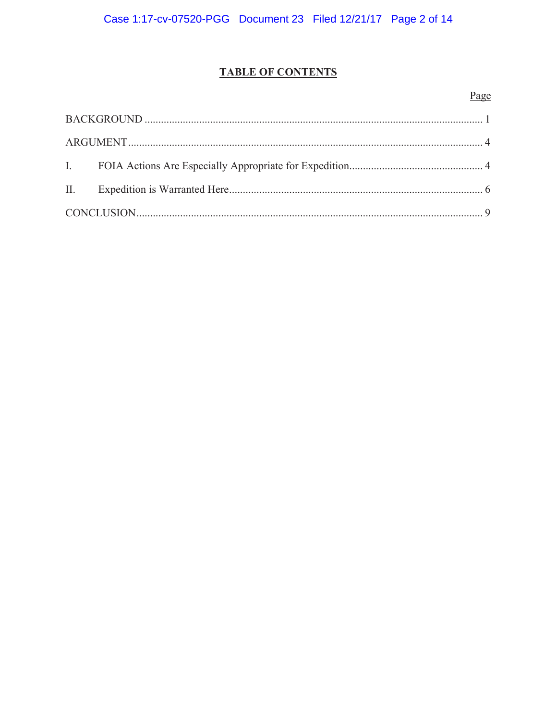# **TABLE OF CONTENTS**

# Page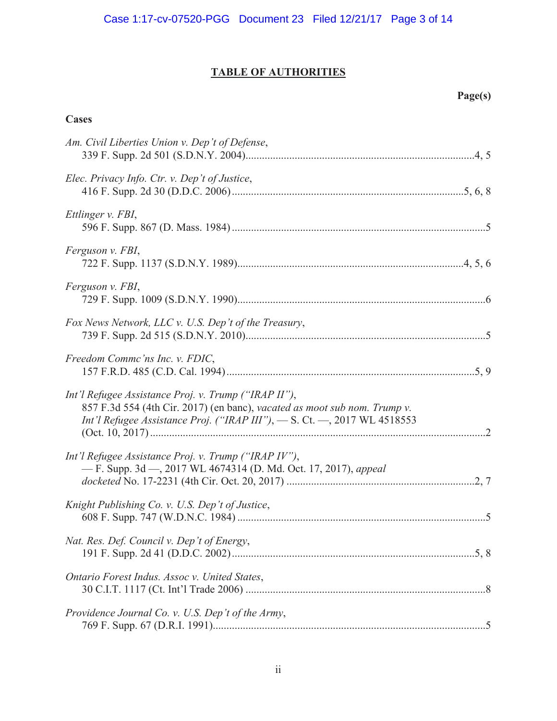# **TABLE OF AUTHORITIES**

# **Cases**

| Am. Civil Liberties Union v. Dep't of Defense,                                                                                                                                                                |
|---------------------------------------------------------------------------------------------------------------------------------------------------------------------------------------------------------------|
| Elec. Privacy Info. Ctr. v. Dep't of Justice,                                                                                                                                                                 |
| Ettlinger v. FBI,                                                                                                                                                                                             |
| Ferguson v. FBI,                                                                                                                                                                                              |
| Ferguson v. FBI,                                                                                                                                                                                              |
| Fox News Network, LLC v. U.S. Dep't of the Treasury,                                                                                                                                                          |
| Freedom Commc'ns Inc. v. FDIC,                                                                                                                                                                                |
| Int'l Refugee Assistance Proj. v. Trump ("IRAP II"),<br>857 F.3d 554 (4th Cir. 2017) (en banc), vacated as moot sub nom. Trump v.<br>Int'l Refugee Assistance Proj. ("IRAP III"), - S. Ct. -, 2017 WL 4518553 |
| Int'l Refugee Assistance Proj. v. Trump ("IRAP IV"),<br>- F. Supp. 3d - 2017 WL 4674314 (D. Md. Oct. 17, 2017), appeal                                                                                        |
| Knight Publishing Co. v. U.S. Dep't of Justice,                                                                                                                                                               |
| Nat. Res. Def. Council v. Dep't of Energy,                                                                                                                                                                    |
| Ontario Forest Indus. Assoc v. United States,                                                                                                                                                                 |
| Providence Journal Co. v. U.S. Dep't of the Army,                                                                                                                                                             |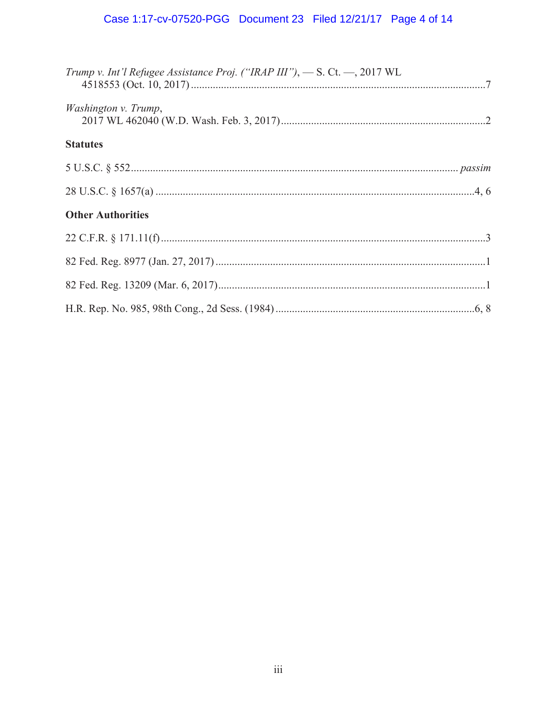# Case 1:17-cv-07520-PGG Document 23 Filed 12/21/17 Page 4 of 14

| Trump v. Int'l Refugee Assistance Proj. ("IRAP III"), $-$ S. Ct. $-$ , 2017 WL |  |
|--------------------------------------------------------------------------------|--|
| Washington v. Trump,                                                           |  |
| <b>Statutes</b>                                                                |  |
|                                                                                |  |
|                                                                                |  |
| <b>Other Authorities</b>                                                       |  |
|                                                                                |  |
|                                                                                |  |
|                                                                                |  |
|                                                                                |  |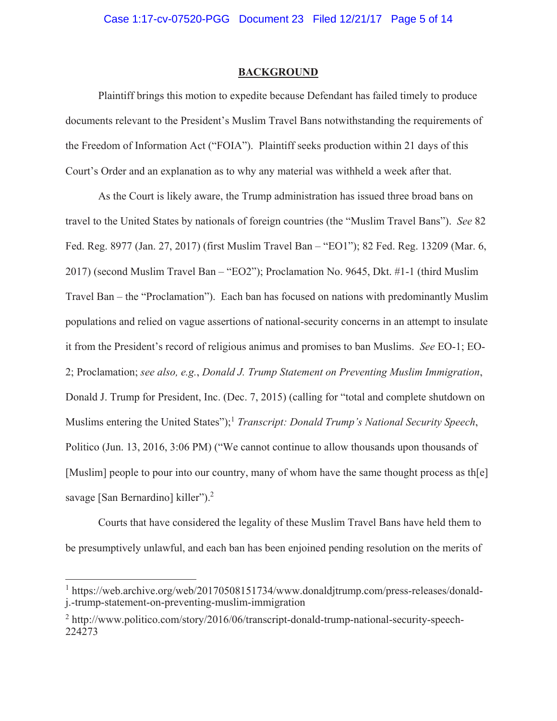#### **BACKGROUND**

Plaintiff brings this motion to expedite because Defendant has failed timely to produce documents relevant to the President's Muslim Travel Bans notwithstanding the requirements of the Freedom of Information Act ("FOIA"). Plaintiff seeks production within 21 days of this Court's Order and an explanation as to why any material was withheld a week after that.

As the Court is likely aware, the Trump administration has issued three broad bans on travel to the United States by nationals of foreign countries (the "Muslim Travel Bans"). See 82 Fed. Reg. 8977 (Jan. 27, 2017) (first Muslim Travel Ban – "EO1"); 82 Fed. Reg. 13209 (Mar. 6, 2017) (second Muslim Travel Ban – "EO2"); Proclamation No. 9645, Dkt. #1-1 (third Muslim Travel Ban – the "Proclamation"). Each ban has focused on nations with predominantly Muslim populations and relied on vague assertions of national-security concerns in an attempt to insulate it from the President's record of religious animus and promises to ban Muslims. See EO-1; EO-2; Proclamation; see also, e.g., Donald J. Trump Statement on Preventing Muslim Immigration, Donald J. Trump for President, Inc. (Dec. 7, 2015) (calling for "total and complete shutdown on Muslims entering the United States");<sup>1</sup> Transcript: Donald Trump's National Security Speech, Politico (Jun. 13, 2016, 3:06 PM) ("We cannot continue to allow thousands upon thousands of [Muslim] people to pour into our country, many of whom have the same thought process as the savage [San Bernardino] killer").<sup>2</sup>

Courts that have considered the legality of these Muslim Travel Bans have held them to be presumptively unlawful, and each ban has been enjoined pending resolution on the merits of

<sup>&</sup>lt;sup>1</sup> https://web.archive.org/web/20170508151734/www.donaldjtrump.com/press-releases/donaldj.-trump-statement-on-preventing-muslim-immigration

 $2$  http://www.politico.com/story/2016/06/transcript-donald-trump-national-security-speech-224273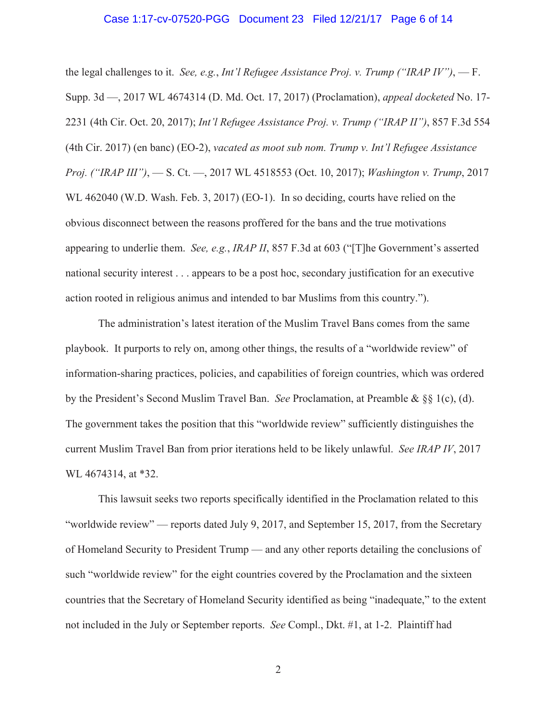#### Case 1:17-cv-07520-PGG Document 23 Filed 12/21/17 Page 6 of 14

the legal challenges to it. See, e.g., Int'l Refugee Assistance Proj. v. Trump ("IRAP IV"),  $-F$ . Supp. 3d —, 2017 WL 4674314 (D. Md. Oct. 17, 2017) (Proclamation), appeal docketed No. 17-2231 (4th Cir. Oct. 20, 2017); Int'l Refugee Assistance Proj. v. Trump ("IRAP II"), 857 F.3d 554 (4th Cir. 2017) (en banc) (EO-2), vacated as moot sub nom. Trump v. Int'l Refugee Assistance Proj. ("IRAP III"), - S. Ct. -, 2017 WL 4518553 (Oct. 10, 2017); Washington v. Trump, 2017 WL 462040 (W.D. Wash. Feb. 3, 2017) (EO-1). In so deciding, courts have relied on the obvious disconnect between the reasons proffered for the bans and the true motivations appearing to underlie them. See, e.g., IRAP II, 857 F.3d at 603 ("T] he Government's asserted national security interest . . . appears to be a post hoc, secondary justification for an executive action rooted in religious animus and intended to bar Muslims from this country.").

The administration's latest iteration of the Muslim Travel Bans comes from the same playbook. It purports to rely on, among other things, the results of a "worldwide review" of information-sharing practices, policies, and capabilities of foreign countries, which was ordered by the President's Second Muslim Travel Ban. See Proclamation, at Preamble &  $\S\S 1(c)$ , (d). The government takes the position that this "worldwide review" sufficiently distinguishes the current Muslim Travel Ban from prior iterations held to be likely unlawful. See IRAP IV, 2017 WL 4674314, at \*32.

This lawsuit seeks two reports specifically identified in the Proclamation related to this "worldwide review" — reports dated July 9, 2017, and September 15, 2017, from the Secretary of Homeland Security to President Trump — and any other reports detailing the conclusions of such "worldwide review" for the eight countries covered by the Proclamation and the sixteen countries that the Secretary of Homeland Security identified as being "inadequate," to the extent not included in the July or September reports. See Compl., Dkt. #1, at 1-2. Plaintiff had

 $\overline{2}$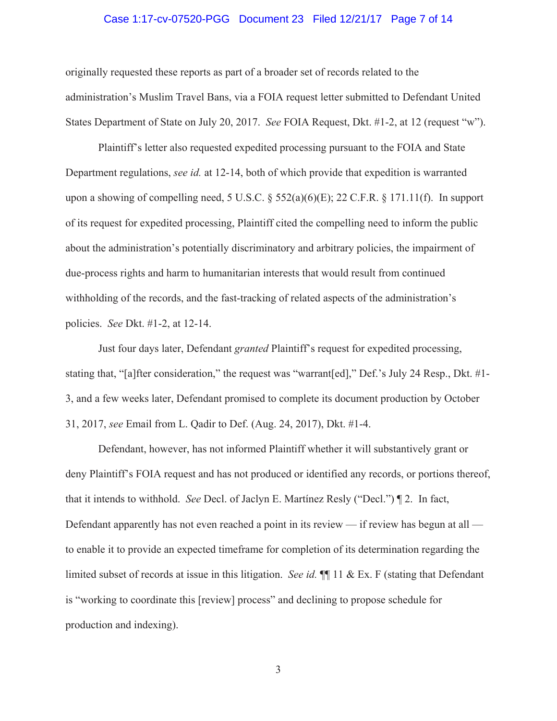#### Case 1:17-cv-07520-PGG Document 23 Filed 12/21/17 Page 7 of 14

originally requested these reports as part of a broader set of records related to the administration's Muslim Travel Bans, via a FOIA request letter submitted to Defendant United States Department of State on July 20, 2017. See FOIA Request, Dkt. #1-2, at 12 (request "w").

Plaintiff's letter also requested expedited processing pursuant to the FOIA and State Department regulations, see id. at 12-14, both of which provide that expedition is warranted upon a showing of compelling need, 5 U.S.C.  $\S$  552(a)(6)(E); 22 C.F.R.  $\S$  171.11(f). In support of its request for expedited processing, Plaintiff cited the compelling need to inform the public about the administration's potentially discriminatory and arbitrary policies, the impairment of due-process rights and harm to humanitarian interests that would result from continued withholding of the records, and the fast-tracking of related aspects of the administration's policies. See Dkt. #1-2, at 12-14.

Just four days later, Defendant *granted* Plaintiff's request for expedited processing, stating that, "[a]fter consideration," the request was "warrant[ed]," Def.'s July 24 Resp., Dkt. #1-3, and a few weeks later, Defendant promised to complete its document production by October 31, 2017, see Email from L. Qadir to Def. (Aug. 24, 2017), Dkt. #1-4.

Defendant, however, has not informed Plaintiff whether it will substantively grant or deny Plaintiff's FOIA request and has not produced or identified any records, or portions thereof, that it intends to withhold. See Decl. of Jaclyn E. Martinez Resly ("Decl.") [2. In fact, Defendant apparently has not even reached a point in its review — if review has begun at all to enable it to provide an expected timeframe for completion of its determination regarding the limited subset of records at issue in this litigation. See id.  $\P$  11 & Ex. F (stating that Defendant is "working to coordinate this [review] process" and declining to propose schedule for production and indexing).

 $\mathfrak{Z}$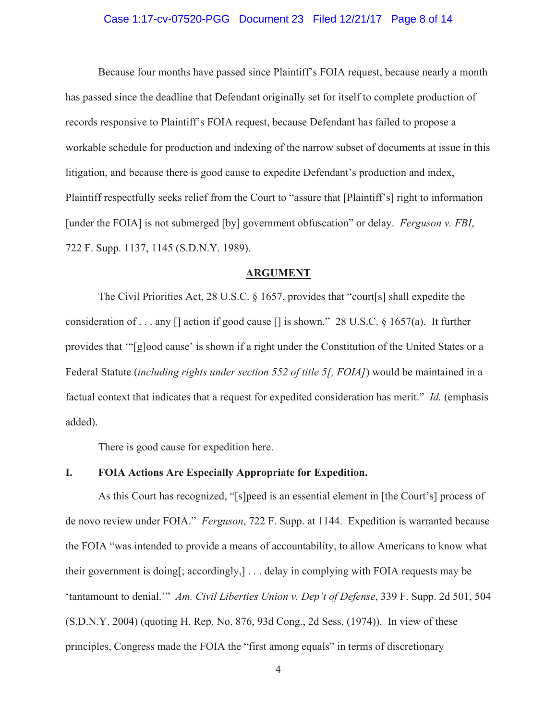#### Case 1:17-cv-07520-PGG Document 23 Filed 12/21/17 Page 8 of 14

Because four months have passed since Plaintiff's FOIA request, because nearly a month has passed since the deadline that Defendant originally set for itself to complete production of records responsive to Plaintiff's FOIA request, because Defendant has failed to propose a workable schedule for production and indexing of the narrow subset of documents at issue in this litigation, and because there is good cause to expedite Defendant's production and index, Plaintiff respectfully seeks relief from the Court to "assure that [Plaintiff's] right to information [under the FOIA] is not submerged [by] government obfuscation" or delay. Ferguson v. FBI, 722 F. Supp. 1137, 1145 (S.D.N.Y. 1989).

#### **ARGUMENT**

The Civil Priorities Act, 28 U.S.C.  $\S$  1657, provides that "court[s] shall expedite the consideration of . . . any  $\lceil$  action if good cause  $\lceil$  is shown." 28 U.S.C. § 1657(a). It further provides that "[g]ood cause' is shown if a right under the Constitution of the United States or a Federal Statute (including rights under section 552 of title 5[, FOIA]) would be maintained in a factual context that indicates that a request for expedited consideration has merit." Id. (emphasis added).

There is good cause for expedition here.

#### L. **FOIA Actions Are Especially Appropriate for Expedition.**

As this Court has recognized, "[s] peed is an essential element in [the Court's] process of de novo review under FOIA." Ferguson, 722 F. Supp. at 1144. Expedition is warranted because the FOIA "was intended to provide a means of accountability, to allow Americans to know what their government is doing[; accordingly,]... delay in complying with FOIA requests may be 'tantamount to denial.'" Am. Civil Liberties Union v. Dep't of Defense, 339 F. Supp. 2d 501, 504 (S.D.N.Y. 2004) (quoting H. Rep. No. 876, 93d Cong., 2d Sess. (1974)). In view of these principles, Congress made the FOIA the "first among equals" in terms of discretionary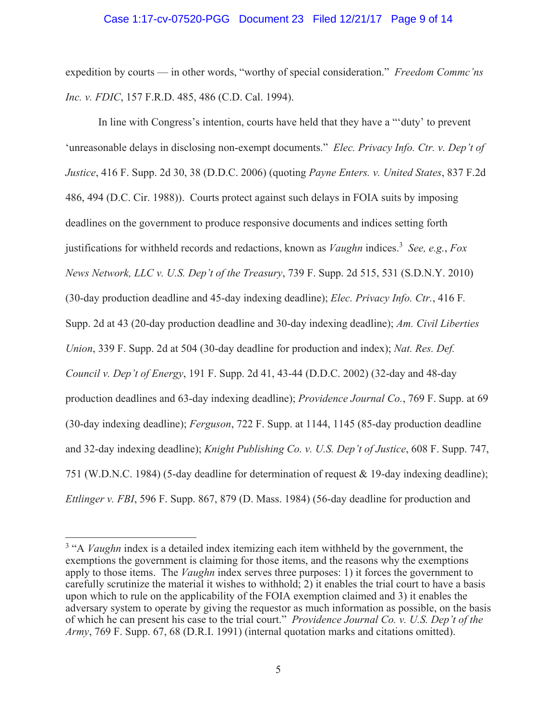#### Case 1:17-cv-07520-PGG Document 23 Filed 12/21/17 Page 9 of 14

expedition by courts — in other words, "worthy of special consideration." Freedom Commc'ns *Inc. v. FDIC*, 157 F.R.D. 485, 486 (C.D. Cal. 1994).

In line with Congress's intention, courts have held that they have a ""duty' to prevent 'unreasonable delays in disclosing non-exempt documents." Elec. Privacy Info. Ctr. v. Dep't of Justice, 416 F. Supp. 2d 30, 38 (D.D.C. 2006) (quoting Payne Enters. v. United States, 837 F.2d 486, 494 (D.C. Cir. 1988)). Courts protect against such delays in FOIA suits by imposing deadlines on the government to produce responsive documents and indices setting forth justifications for withheld records and redactions, known as *Vaughn* indices.<sup>3</sup> See, e.g., Fox News Network, LLC v. U.S. Dep't of the Treasury, 739 F. Supp. 2d 515, 531 (S.D.N.Y. 2010) (30-day production deadline and 45-day indexing deadline); *Elec. Privacy Info. Ctr.*, 416 F. Supp. 2d at 43 (20-day production deadline and 30-day indexing deadline); Am. Civil Liberties Union, 339 F. Supp. 2d at 504 (30-day deadline for production and index); Nat. Res. Def. Council v. Dep't of Energy, 191 F. Supp. 2d 41, 43-44 (D.D.C. 2002) (32-day and 48-day production deadlines and 63-day indexing deadline); *Providence Journal Co.*, 769 F. Supp. at 69 (30-day indexing deadline); Ferguson, 722 F. Supp. at 1144, 1145 (85-day production deadline and 32-day indexing deadline); *Knight Publishing Co. v. U.S. Dep't of Justice*, 608 F. Supp. 747, 751 (W.D.N.C. 1984) (5-day deadline for determination of request & 19-day indexing deadline); *Ettlinger v. FBI*, 596 F. Supp. 867, 879 (D. Mass. 1984) (56-day deadline for production and

<sup>&</sup>lt;sup>3</sup> "A *Vaughn* index is a detailed index itemizing each item withheld by the government, the exemptions the government is claiming for those items, and the reasons why the exemptions apply to those items. The *Vaughn* index serves three purposes: 1) it forces the government to carefully scrutinize the material it wishes to withhold; 2) it enables the trial court to have a basis upon which to rule on the applicability of the FOIA exemption claimed and 3) it enables the adversary system to operate by giving the requestor as much information as possible, on the basis of which he can present his case to the trial court." Providence Journal Co. v. U.S. Dep't of the *Army*, 769 F. Supp. 67, 68 (D.R.I. 1991) (internal quotation marks and citations omitted).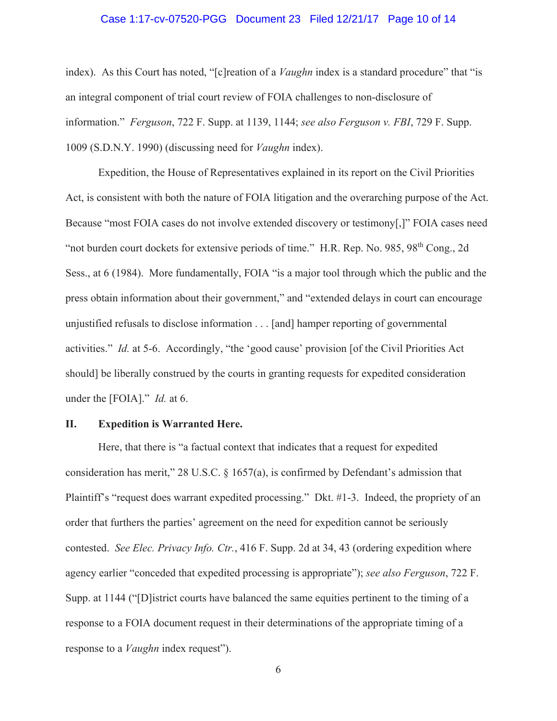#### Case 1:17-cv-07520-PGG Document 23 Filed 12/21/17 Page 10 of 14

index). As this Court has noted, "[c] reation of a *Vaughn* index is a standard procedure" that "is an integral component of trial court review of FOIA challenges to non-disclosure of information." Ferguson, 722 F. Supp. at 1139, 1144; see also Ferguson v. FBI, 729 F. Supp. 1009 (S.D.N.Y. 1990) (discussing need for *Vaughn* index).

Expedition, the House of Representatives explained in its report on the Civil Priorities Act, is consistent with both the nature of FOIA litigation and the overarching purpose of the Act. Because "most FOIA cases do not involve extended discovery or testimony[,]" FOIA cases need "not burden court dockets for extensive periods of time." H.R. Rep. No. 985, 98<sup>th</sup> Cong., 2d Sess., at 6 (1984). More fundamentally, FOIA "is a major tool through which the public and the press obtain information about their government," and "extended delays in court can encourage unjustified refusals to disclose information . . . [and] hamper reporting of governmental activities." *Id.* at 5-6. Accordingly, "the 'good cause' provision [of the Civil Priorities Act] should] be liberally construed by the courts in granting requests for expedited consideration under the [FOIA]."  $Id.$  at 6.

#### II. **Expedition is Warranted Here.**

Here, that there is "a factual context that indicates that a request for expedited consideration has merit," 28 U.S.C. § 1657(a), is confirmed by Defendant's admission that Plaintiff's "request does warrant expedited processing." Dkt. #1-3. Indeed, the propriety of an order that furthers the parties' agreement on the need for expedition cannot be seriously contested. See Elec. Privacy Info. Ctr., 416 F. Supp. 2d at 34, 43 (ordering expedition where agency earlier "conceded that expedited processing is appropriate"); see also Ferguson, 722 F. Supp. at 1144 ("D) istrict courts have balanced the same equities pertinent to the timing of a response to a FOIA document request in their determinations of the appropriate timing of a response to a *Vaughn* index request").

6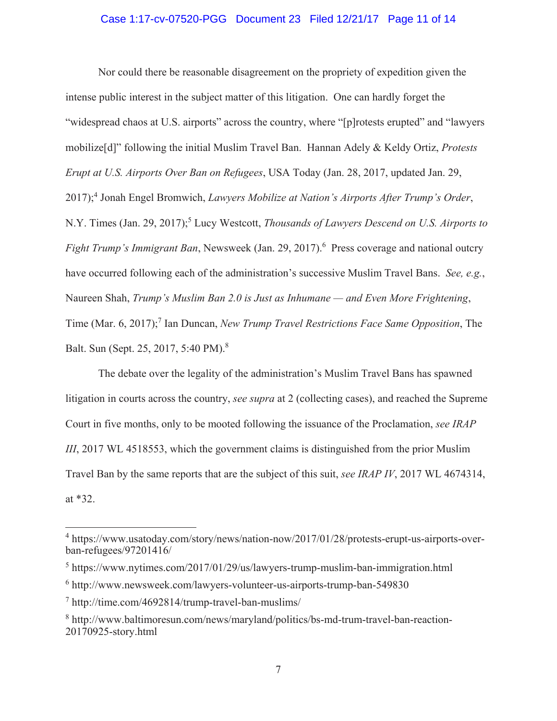#### Case 1:17-cv-07520-PGG Document 23 Filed 12/21/17 Page 11 of 14

Nor could there be reasonable disagreement on the propriety of expedition given the intense public interest in the subject matter of this litigation. One can hardly forget the "widespread chaos at U.S. airports" across the country, where "[p] rotests erupted" and "lawyers" mobilize<sup>[d]</sup>" following the initial Muslim Travel Ban. Hannan Adely & Keldy Ortiz, *Protests Erupt at U.S. Airports Over Ban on Refugees*, USA Today (Jan. 28, 2017, updated Jan. 29, 2017);<sup>4</sup> Jonah Engel Bromwich, *Lawyers Mobilize at Nation's Airports After Trump's Order*, N.Y. Times (Jan. 29, 2017);<sup>5</sup> Lucy Westcott, *Thousands of Lawyers Descend on U.S. Airports to Fight Trump's Immigrant Ban*, Newsweek (Jan. 29, 2017).<sup>6</sup> Press coverage and national outcry have occurred following each of the administration's successive Muslim Travel Bans. See, e.g., Naureen Shah, *Trump's Muslim Ban 2.0 is Just as Inhumane — and Even More Frightening*, Time (Mar. 6, 2017);<sup>7</sup> Ian Duncan, New Trump Travel Restrictions Face Same Opposition, The Balt. Sun (Sept. 25, 2017, 5:40 PM).<sup>8</sup>

The debate over the legality of the administration's Muslim Travel Bans has spawned litigation in courts across the country, see supra at 2 (collecting cases), and reached the Supreme Court in five months, only to be mooted following the issuance of the Proclamation, see IRAP *III*, 2017 WL 4518553, which the government claims is distinguished from the prior Muslim Travel Ban by the same reports that are the subject of this suit, see IRAP IV, 2017 WL 4674314, at  $*32$ .

<sup>&</sup>lt;sup>4</sup> https://www.usatoday.com/story/news/nation-now/2017/01/28/protests-erupt-us-airports-overban-refugees/97201416/

 $5$  https://www.nytimes.com/2017/01/29/us/lawyers-trump-muslim-ban-immigration.html

 $6$  http://www.newsweek.com/lawyers-volunteer-us-airports-trump-ban-549830

 $\frac{7 \text{ http://time.com/4692814/trump-travel-ban-muslims/}}$ 

 $8$  http://www.baltimoresun.com/news/maryland/politics/bs-md-trum-travel-ban-reaction-20170925-story.html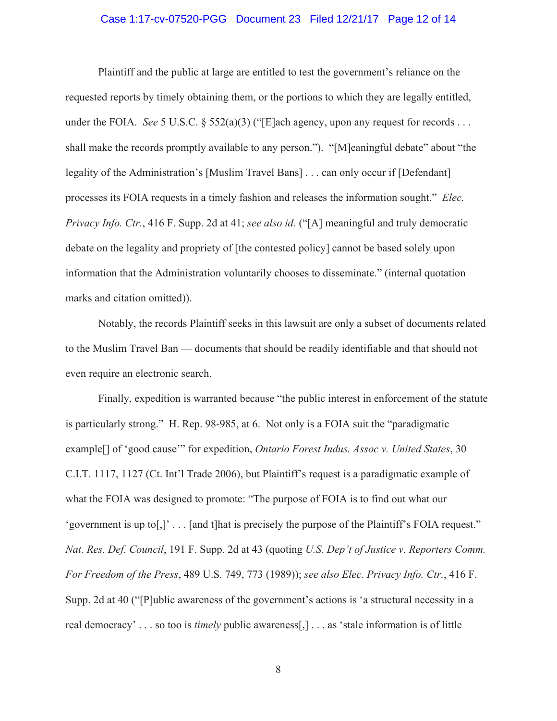#### Case 1:17-cv-07520-PGG Document 23 Filed 12/21/17 Page 12 of 14

Plaintiff and the public at large are entitled to test the government's reliance on the requested reports by timely obtaining them, or the portions to which they are legally entitled, under the FOIA. See 5 U.S.C. § 552(a)(3) ("[E]ach agency, upon any request for records ... shall make the records promptly available to any person."). "[M]eaningful debate" about "the legality of the Administration's [Muslim Travel Bans] ... can only occur if [Defendant] processes its FOIA requests in a timely fashion and releases the information sought." Elec. Privacy Info. Ctr., 416 F. Supp. 2d at 41; see also id. ("[A] meaningful and truly democratic debate on the legality and propriety of [the contested policy] cannot be based solely upon information that the Administration voluntarily chooses to disseminate." (internal quotation marks and citation omitted)).

Notably, the records Plaintiff seeks in this lawsuit are only a subset of documents related to the Muslim Travel Ban — documents that should be readily identifiable and that should not even require an electronic search.

Finally, expedition is warranted because "the public interest in enforcement of the statute" is particularly strong." H. Rep. 98-985, at 6. Not only is a FOIA suit the "paradigmatic example<sup>[]</sup> of 'good cause'" for expedition, *Ontario Forest Indus. Assoc v. United States*, 30 C.I.T. 1117, 1127 (Ct. Int'l Trade 2006), but Plaintiff's request is a paradigmatic example of what the FOIA was designed to promote: "The purpose of FOIA is to find out what our 'government is up to[,]'...[and t]hat is precisely the purpose of the Plaintiff's FOIA request." Nat. Res. Def. Council, 191 F. Supp. 2d at 43 (quoting U.S. Dep't of Justice v. Reporters Comm. For Freedom of the Press, 489 U.S. 749, 773 (1989)); see also Elec. Privacy Info. Ctr., 416 F. Supp. 2d at 40 ("[P]ublic awareness of the government's actions is 'a structural necessity in a real democracy'... so too is *timely* public awareness[,]... as 'stale information is of little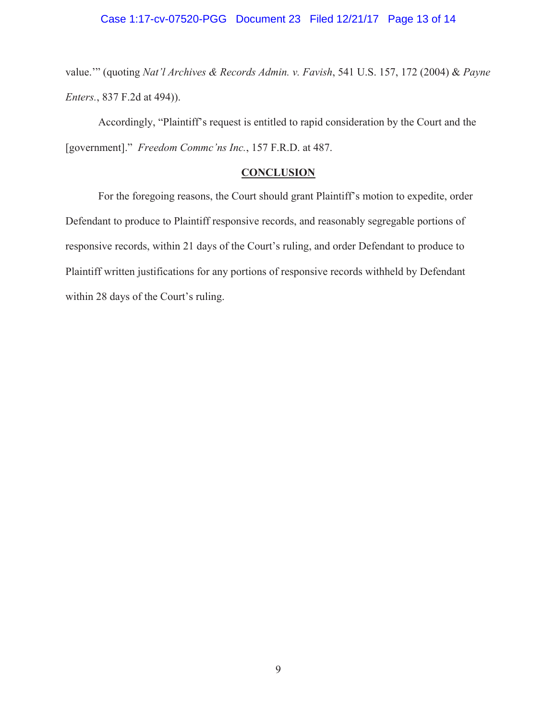value."" (quoting Nat'l Archives & Records Admin. v. Favish, 541 U.S. 157, 172 (2004) & Payne *Enters.*, 837 F.2d at 494)).

Accordingly, "Plaintiff's request is entitled to rapid consideration by the Court and the [government]." Freedom Commc'ns Inc., 157 F.R.D. at 487.

# **CONCLUSION**

For the foregoing reasons, the Court should grant Plaintiff's motion to expedite, order Defendant to produce to Plaintiff responsive records, and reasonably segregable portions of responsive records, within 21 days of the Court's ruling, and order Defendant to produce to Plaintiff written justifications for any portions of responsive records withheld by Defendant within 28 days of the Court's ruling.